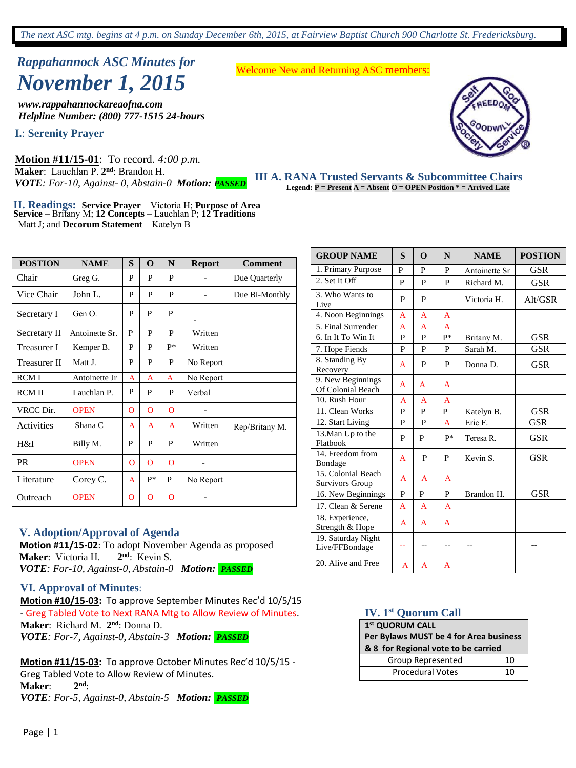# *Rappahannock ASC Minutes for November 1, 2015*

*www.rappahannockareaofna.com Helpline Number: (800) 777-1515 24-hours*

**I.**: **Serenity Prayer** 

**Motion #11/15-01**: To record. *4:00 p.m.*  **Maker**: Lauchlan P. **2 nd**: Brandon H. *VOTE: For-10, Against- 0, Abstain-0 Motion: PASSED*

Welcome New and Returning ASC members:



**38 meetings** in the Rappahannock Area every week. **111 A. RANA Trusted Servants & Subcommittee Chairs Legend: P = Present** A = Absent **O** = OPEN Position \* = Arrived Late

**II. Readings: Service Prayer** – Victoria H; **Purpose of Area Service** – Britany M; **12 Concepts** – Lauchlan P; **12 Traditions** –Matt J; and **Decorum Statement** – Katelyn B

| <b>POSTION</b>      | <b>NAME</b>    | S        | O              | N              | <b>Report</b> | <b>Comment</b> |
|---------------------|----------------|----------|----------------|----------------|---------------|----------------|
| Chair               | Greg G.        | P        | P              | P              |               | Due Quarterly  |
| Vice Chair          | John L.        | P        | P              | P              |               | Due Bi-Monthly |
| Secretary I         | Gen O.         | P        | P              | P              |               |                |
| Secretary II        | Antoinette Sr. | P        | P              | P              | Written       |                |
| Treasurer I         | Kemper B.      | P        | P              | p*             | Written       |                |
| <b>Treasurer II</b> | Matt J.        | P        | P              | P              | No Report     |                |
| RCM I               | Antoinette Jr  | A        | A              | A              | No Report     |                |
| <b>RCMII</b>        | Lauchlan P.    | P        | P              | P              | Verbal        |                |
| VRCC Dir.           | <b>OPEN</b>    | $\Omega$ | $\mathbf{O}$   | $\overline{O}$ |               |                |
| Activities          | Shana C        | A        | A              | A              | Written       | Rep/Britany M. |
| H&I                 | Billy M.       | P        | P              | P              | Written       |                |
| <b>PR</b>           | <b>OPEN</b>    | $\Omega$ | $\overline{O}$ | O              |               |                |
| Literature          | Corey C.       | A        | p*             | P              | No Report     |                |
| Outreach            | <b>OPEN</b>    | O        | O              | O              |               |                |

### **V. Adoption/Approval of Agenda**

**Motion #11/15-02**: To adopt November Agenda as proposed **Maker**: Victoria H. **2** 2<sup>nd</sup>: Kevin S. *VOTE: For-10, Against-0, Abstain-0 Motion: PASSED*

### **VI. Approval of Minutes**:

**Motion #10/15-03:** To approve September Minutes Rec'd 10/5/15 - Greg Tabled Vote to Next RANA Mtg to Allow Review of Minutes. Maker: Richard M. 2<sup>nd</sup>: Donna D. *VOTE: For-7, Against-0, Abstain-3 Motion: PASSED*

**Motion #11/15-03:** To approve October Minutes Rec'd 10/5/15 - Greg Tabled Vote to Allow Review of Minutes. **Maker**: **2 nd**: *VOTE: For-5, Against-0, Abstain-5 Motion: PASSED*

| <b>GROUP NAME</b>                            | S  | O | N            | <b>NAME</b>   | <b>POSTION</b> |
|----------------------------------------------|----|---|--------------|---------------|----------------|
| 1. Primary Purpose                           | P  | P | P            | Antoinette Sr | GSR            |
| 2. Set It Off                                | P  | P | P            | Richard M.    | <b>GSR</b>     |
| 3. Who Wants to<br>Live                      | P  | P |              | Victoria H.   | Alt/GSR        |
| 4. Noon Beginnings                           | A  | A | A            |               |                |
| 5. Final Surrender                           | A  | A | A            |               |                |
| 6. In It To Win It                           | P  | P | $P*$         | Britany M.    | <b>GSR</b>     |
| 7. Hope Fiends                               | P  | P | P            | Sarah M.      | <b>GSR</b>     |
| 8. Standing By<br>Recovery                   | A  | P | P            | Donna D.      | <b>GSR</b>     |
| 9. New Beginnings<br>Of Colonial Beach       | A  | A | A            |               |                |
| 10. Rush Hour                                | A  | A | A            |               |                |
| 11. Clean Works                              | P  | P | P            | Katelyn B.    | <b>GSR</b>     |
| 12. Start Living                             | P  | P | A            | Eric F.       | <b>GSR</b>     |
| 13. Man Up to the<br>Flatbook                | P  | P | p*           | Teresa R.     | <b>GSR</b>     |
| 14. Freedom from<br>Bondage                  | A  | P | P            | Kevin S.      | <b>GSR</b>     |
| 15. Colonial Beach<br><b>Survivors Group</b> | A  | A | $\mathsf{A}$ |               |                |
| 16. New Beginnings                           | P  | P | P            | Brandon H.    | <b>GSR</b>     |
| 17. Clean & Serene                           | A  | A | A            |               |                |
| 18. Experience,<br>Strength & Hope           | A  | A | A            |               |                |
| 19. Saturday Night<br>Live/FFBondage         | -- |   |              |               |                |
| 20. Alive and Free                           | A  | A | A            |               |                |

### **IV. 1st Quorum Call**

## **1 st QUORUM CALL Per Bylaws MUST be 4 for Area business & 8 for Regional vote to be carried**

| Group Represented       |  |
|-------------------------|--|
| <b>Procedural Votes</b> |  |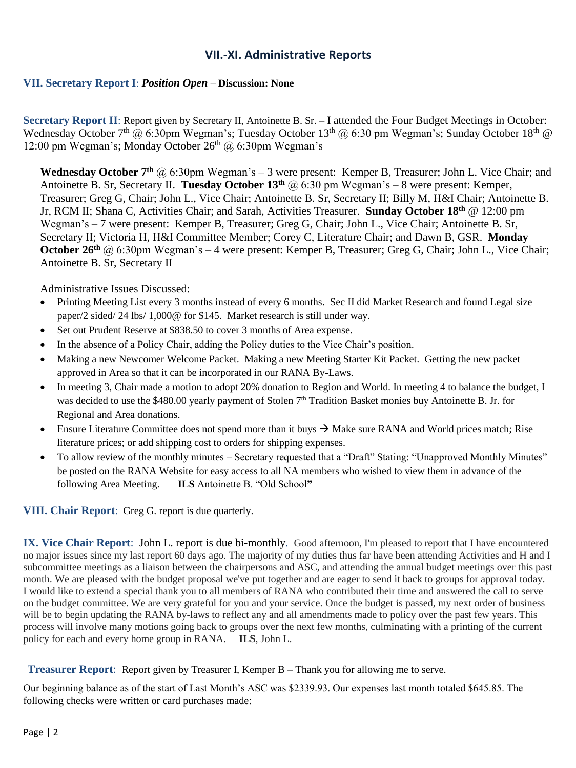### **VII.-XI. Administrative Reports**

### **VII. Secretary Report I**: *Position Open* – **Discussion: None**

**Secretary Report II**: Report given by Secretary II, Antoinette B. Sr. – I attended the Four Budget Meetings in October: Wednesday October 7<sup>th</sup> @ 6:30pm Wegman's; Tuesday October 13<sup>th</sup> @ 6:30 pm Wegman's; Sunday October 18<sup>th</sup> @ 12:00 pm Wegman's; Monday October  $26<sup>th</sup>$  @ 6:30pm Wegman's

**Wednesday October 7<sup>th</sup>** @ 6:30pm Wegman's – 3 were present: Kemper B, Treasurer; John L. Vice Chair; and Antoinette B. Sr, Secretary II. **Tuesday October 13th** @ 6:30 pm Wegman's – 8 were present: Kemper, Treasurer; Greg G, Chair; John L., Vice Chair; Antoinette B. Sr, Secretary II; Billy M, H&I Chair; Antoinette B. Jr, RCM II; Shana C, Activities Chair; and Sarah, Activities Treasurer. **Sunday October 18th** @ 12:00 pm Wegman's – 7 were present: Kemper B, Treasurer; Greg G, Chair; John L., Vice Chair; Antoinette B. Sr, Secretary II; Victoria H, H&I Committee Member; Corey C, Literature Chair; and Dawn B, GSR. **Monday October 26<sup>th</sup>** @ 6:30pm Wegman's – 4 were present: Kemper B, Treasurer; Greg G, Chair; John L., Vice Chair; Antoinette B. Sr, Secretary II

### Administrative Issues Discussed:

- Printing Meeting List every 3 months instead of every 6 months. Sec II did Market Research and found Legal size paper/2 sided/ 24 lbs/ 1,000@ for \$145. Market research is still under way.
- Set out Prudent Reserve at \$838.50 to cover 3 months of Area expense.
- In the absence of a Policy Chair, adding the Policy duties to the Vice Chair's position.
- Making a new Newcomer Welcome Packet. Making a new Meeting Starter Kit Packet. Getting the new packet approved in Area so that it can be incorporated in our RANA By-Laws.
- In meeting 3, Chair made a motion to adopt 20% donation to Region and World. In meeting 4 to balance the budget, I was decided to use the \$480.00 yearly payment of Stolen 7<sup>th</sup> Tradition Basket monies buy Antoinette B. Jr. for Regional and Area donations.
- **Ensure Literature Committee does not spend more than it buys**  $\rightarrow$  **Make sure RANA and World prices match; Rise** literature prices; or add shipping cost to orders for shipping expenses.
- To allow review of the monthly minutes Secretary requested that a "Draft" Stating: "Unapproved Monthly Minutes" be posted on the RANA Website for easy access to all NA members who wished to view them in advance of the following Area Meeting. **ILS** Antoinette B. "Old School**"**

### **VIII. Chair Report**: Greg G. report is due quarterly.

**IX. Vice Chair Report**: John L. report is due bi-monthly. Good afternoon, I'm pleased to report that I have encountered no major issues since my last report 60 days ago. The majority of my duties thus far have been attending Activities and H and I subcommittee meetings as a liaison between the chairpersons and ASC, and attending the annual budget meetings over this past month. We are pleased with the budget proposal we've put together and are eager to send it back to groups for approval today. I would like to extend a special thank you to all members of RANA who contributed their time and answered the call to serve on the budget committee. We are very grateful for you and your service. Once the budget is passed, my next order of business will be to begin updating the RANA by-laws to reflect any and all amendments made to policy over the past few years. This process will involve many motions going back to groups over the next few months, culminating with a printing of the current policy for each and every home group in RANA. **ILS**, John L.

**Treasurer Report**: Report given by Treasurer I, Kemper B – Thank you for allowing me to serve.

Our beginning balance as of the start of Last Month's ASC was \$2339.93. Our expenses last month totaled \$645.85. The following checks were written or card purchases made: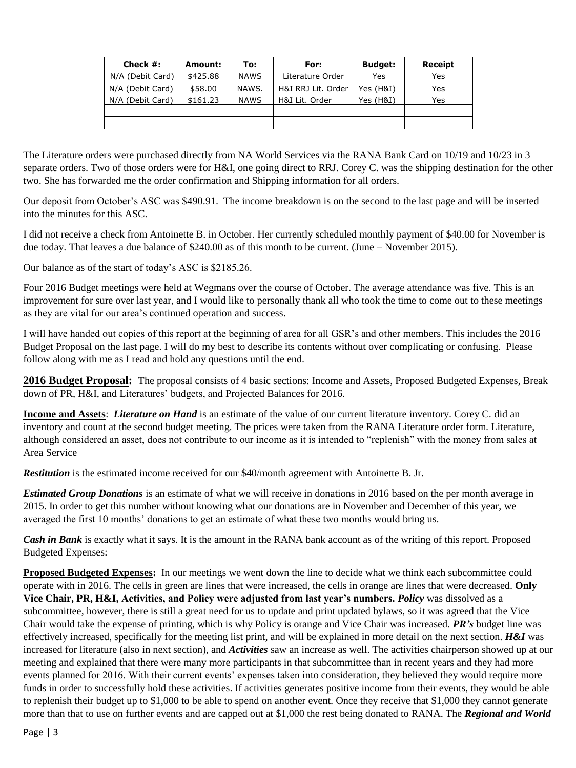| Check $#$ :      | Amount:  | To:         | For:               | <b>Budget:</b> | Receipt |
|------------------|----------|-------------|--------------------|----------------|---------|
| N/A (Debit Card) | \$425.88 | <b>NAWS</b> | Literature Order   | Yes            | Yes     |
| N/A (Debit Card) | \$58.00  | NAWS.       | H&I RRJ Lit. Order | Yes (H&I)      | Yes     |
| N/A (Debit Card) | \$161.23 | <b>NAWS</b> | H&I Lit. Order     | Yes (H&I)      | Yes     |
|                  |          |             |                    |                |         |
|                  |          |             |                    |                |         |

The Literature orders were purchased directly from NA World Services via the RANA Bank Card on 10/19 and 10/23 in 3 separate orders. Two of those orders were for H&I, one going direct to RRJ. Corey C. was the shipping destination for the other two. She has forwarded me the order confirmation and Shipping information for all orders.

Our deposit from October's ASC was \$490.91. The income breakdown is on the second to the last page and will be inserted into the minutes for this ASC.

I did not receive a check from Antoinette B. in October. Her currently scheduled monthly payment of \$40.00 for November is due today. That leaves a due balance of \$240.00 as of this month to be current. (June – November 2015).

Our balance as of the start of today's ASC is \$2185.26.

Four 2016 Budget meetings were held at Wegmans over the course of October. The average attendance was five. This is an improvement for sure over last year, and I would like to personally thank all who took the time to come out to these meetings as they are vital for our area's continued operation and success.

I will have handed out copies of this report at the beginning of area for all GSR's and other members. This includes the 2016 Budget Proposal on the last page. I will do my best to describe its contents without over complicating or confusing. Please follow along with me as I read and hold any questions until the end.

**2016 Budget Proposal:** The proposal consists of 4 basic sections: Income and Assets, Proposed Budgeted Expenses, Break down of PR, H&I, and Literatures' budgets, and Projected Balances for 2016.

**Income and Assets**: *Literature on Hand* is an estimate of the value of our current literature inventory. Corey C. did an inventory and count at the second budget meeting. The prices were taken from the RANA Literature order form. Literature, although considered an asset, does not contribute to our income as it is intended to "replenish" with the money from sales at Area Service

*Restitution* is the estimated income received for our \$40/month agreement with Antoinette B. Jr.

*Estimated Group Donations* is an estimate of what we will receive in donations in 2016 based on the per month average in 2015. In order to get this number without knowing what our donations are in November and December of this year, we averaged the first 10 months' donations to get an estimate of what these two months would bring us.

*Cash in Bank* is exactly what it says. It is the amount in the RANA bank account as of the writing of this report. Proposed Budgeted Expenses:

**Proposed Budgeted Expenses:** In our meetings we went down the line to decide what we think each subcommittee could operate with in 2016. The cells in green are lines that were increased, the cells in orange are lines that were decreased. **Only Vice Chair, PR, H&I, Activities, and Policy were adjusted from last year's numbers.** *Policy* was dissolved as a subcommittee, however, there is still a great need for us to update and print updated bylaws, so it was agreed that the Vice Chair would take the expense of printing, which is why Policy is orange and Vice Chair was increased. *PR's* budget line was effectively increased, specifically for the meeting list print, and will be explained in more detail on the next section. *H&I* was increased for literature (also in next section), and *Activities* saw an increase as well. The activities chairperson showed up at our meeting and explained that there were many more participants in that subcommittee than in recent years and they had more events planned for 2016. With their current events' expenses taken into consideration, they believed they would require more funds in order to successfully hold these activities. If activities generates positive income from their events, they would be able to replenish their budget up to \$1,000 to be able to spend on another event. Once they receive that \$1,000 they cannot generate more than that to use on further events and are capped out at \$1,000 the rest being donated to RANA. The *Regional and World*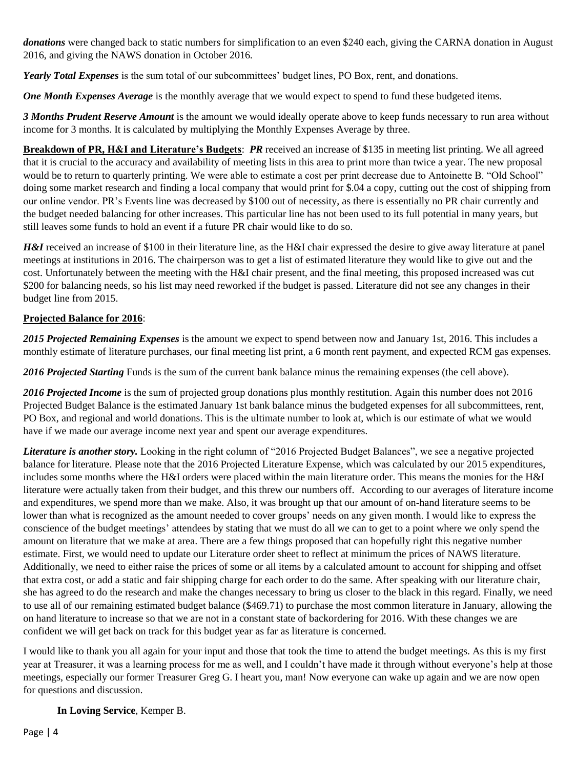*donations* were changed back to static numbers for simplification to an even \$240 each, giving the CARNA donation in August 2016, and giving the NAWS donation in October 2016.

*Yearly Total Expenses* is the sum total of our subcommittees' budget lines, PO Box, rent, and donations.

*One Month Expenses Average* is the monthly average that we would expect to spend to fund these budgeted items.

*3 Months Prudent Reserve Amount* is the amount we would ideally operate above to keep funds necessary to run area without income for 3 months. It is calculated by multiplying the Monthly Expenses Average by three.

**Breakdown of PR, H&I and Literature's Budgets**: *PR* received an increase of \$135 in meeting list printing. We all agreed that it is crucial to the accuracy and availability of meeting lists in this area to print more than twice a year. The new proposal would be to return to quarterly printing. We were able to estimate a cost per print decrease due to Antoinette B. "Old School" doing some market research and finding a local company that would print for \$.04 a copy, cutting out the cost of shipping from our online vendor. PR's Events line was decreased by \$100 out of necessity, as there is essentially no PR chair currently and the budget needed balancing for other increases. This particular line has not been used to its full potential in many years, but still leaves some funds to hold an event if a future PR chair would like to do so.

*H&I* received an increase of \$100 in their literature line, as the H&I chair expressed the desire to give away literature at panel meetings at institutions in 2016. The chairperson was to get a list of estimated literature they would like to give out and the cost. Unfortunately between the meeting with the H&I chair present, and the final meeting, this proposed increased was cut \$200 for balancing needs, so his list may need reworked if the budget is passed. Literature did not see any changes in their budget line from 2015.

### **Projected Balance for 2016**:

*2015 Projected Remaining Expenses* is the amount we expect to spend between now and January 1st, 2016. This includes a monthly estimate of literature purchases, our final meeting list print, a 6 month rent payment, and expected RCM gas expenses.

*2016 Projected Starting* Funds is the sum of the current bank balance minus the remaining expenses (the cell above).

*2016 Projected Income* is the sum of projected group donations plus monthly restitution. Again this number does not 2016 Projected Budget Balance is the estimated January 1st bank balance minus the budgeted expenses for all subcommittees, rent, PO Box, and regional and world donations. This is the ultimate number to look at, which is our estimate of what we would have if we made our average income next year and spent our average expenditures.

*Literature is another story.* Looking in the right column of "2016 Projected Budget Balances", we see a negative projected balance for literature. Please note that the 2016 Projected Literature Expense, which was calculated by our 2015 expenditures, includes some months where the H&I orders were placed within the main literature order. This means the monies for the H&I literature were actually taken from their budget, and this threw our numbers off. According to our averages of literature income and expenditures, we spend more than we make. Also, it was brought up that our amount of on-hand literature seems to be lower than what is recognized as the amount needed to cover groups' needs on any given month. I would like to express the conscience of the budget meetings' attendees by stating that we must do all we can to get to a point where we only spend the amount on literature that we make at area. There are a few things proposed that can hopefully right this negative number estimate. First, we would need to update our Literature order sheet to reflect at minimum the prices of NAWS literature. Additionally, we need to either raise the prices of some or all items by a calculated amount to account for shipping and offset that extra cost, or add a static and fair shipping charge for each order to do the same. After speaking with our literature chair, she has agreed to do the research and make the changes necessary to bring us closer to the black in this regard. Finally, we need to use all of our remaining estimated budget balance (\$469.71) to purchase the most common literature in January, allowing the on hand literature to increase so that we are not in a constant state of backordering for 2016. With these changes we are confident we will get back on track for this budget year as far as literature is concerned.

I would like to thank you all again for your input and those that took the time to attend the budget meetings. As this is my first year at Treasurer, it was a learning process for me as well, and I couldn't have made it through without everyone's help at those meetings, especially our former Treasurer Greg G. I heart you, man! Now everyone can wake up again and we are now open for questions and discussion.

### **In Loving Service**, Kemper B.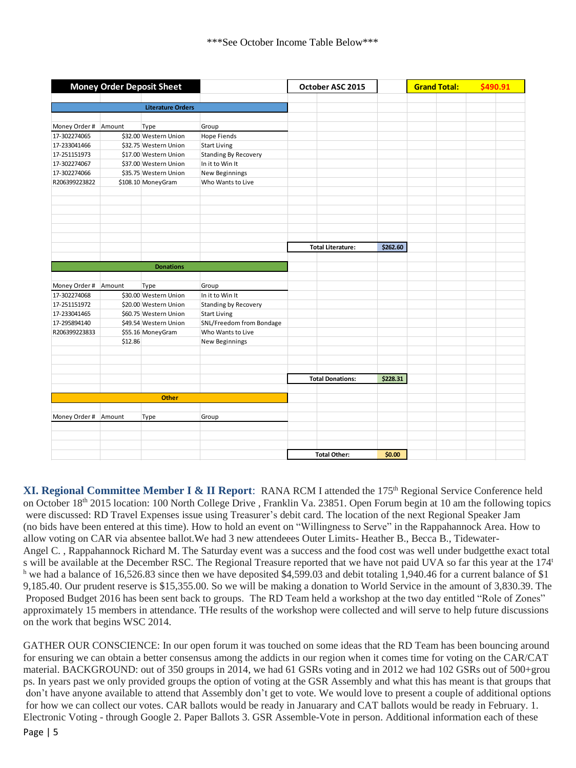|                      |         | <b>Money Order Deposit Sheet</b> |                             | October ASC 2015         |          | <b>Grand Total:</b> | \$490.91 |  |
|----------------------|---------|----------------------------------|-----------------------------|--------------------------|----------|---------------------|----------|--|
|                      |         |                                  |                             |                          |          |                     |          |  |
|                      |         | <b>Literature Orders</b>         |                             |                          |          |                     |          |  |
|                      |         |                                  |                             |                          |          |                     |          |  |
| Money Order # Amount |         | Type                             | Group                       |                          |          |                     |          |  |
| 17-302274065         |         | \$32.00 Western Union            | <b>Hope Fiends</b>          |                          |          |                     |          |  |
| 17-233041466         |         | \$32.75 Western Union            | <b>Start Living</b>         |                          |          |                     |          |  |
| 17-251151973         |         | \$17.00 Western Union            | <b>Standing By Recovery</b> |                          |          |                     |          |  |
| 17-302274067         |         | \$37.00 Western Union            | In it to Win It             |                          |          |                     |          |  |
| 17-302274066         |         | \$35.75 Western Union            | <b>New Beginnings</b>       |                          |          |                     |          |  |
| R206399223822        |         | \$108.10 MoneyGram               | Who Wants to Live           |                          |          |                     |          |  |
|                      |         |                                  |                             |                          |          |                     |          |  |
|                      |         |                                  |                             |                          |          |                     |          |  |
|                      |         |                                  |                             |                          |          |                     |          |  |
|                      |         |                                  |                             |                          |          |                     |          |  |
|                      |         |                                  |                             |                          |          |                     |          |  |
|                      |         |                                  |                             |                          |          |                     |          |  |
|                      |         |                                  |                             | <b>Total Literature:</b> | \$262.60 |                     |          |  |
|                      |         |                                  |                             |                          |          |                     |          |  |
|                      |         | <b>Donations</b>                 |                             |                          |          |                     |          |  |
|                      |         |                                  |                             |                          |          |                     |          |  |
| Money Order # Amount |         | Type                             | Group                       |                          |          |                     |          |  |
| 17-302274068         |         | \$30.00 Western Union            | In it to Win It             |                          |          |                     |          |  |
| 17-251151972         |         | \$20.00 Western Union            | <b>Standing by Recovery</b> |                          |          |                     |          |  |
| 17-233041465         |         | \$60.75 Western Union            | <b>Start Living</b>         |                          |          |                     |          |  |
| 17-295894140         |         | \$49.54 Western Union            | SNL/Freedom from Bondage    |                          |          |                     |          |  |
| R206399223833        |         | \$55.16 MoneyGram                | Who Wants to Live           |                          |          |                     |          |  |
|                      | \$12.86 |                                  | New Beginnings              |                          |          |                     |          |  |
|                      |         |                                  |                             |                          |          |                     |          |  |
|                      |         |                                  |                             |                          |          |                     |          |  |
|                      |         |                                  |                             |                          |          |                     |          |  |
|                      |         |                                  |                             | <b>Total Donations:</b>  | \$228.31 |                     |          |  |
|                      |         |                                  |                             |                          |          |                     |          |  |
|                      |         | <b>Other</b>                     |                             |                          |          |                     |          |  |
|                      |         |                                  |                             |                          |          |                     |          |  |
| Money Order #        | Amount  | Type                             | Group                       |                          |          |                     |          |  |
|                      |         |                                  |                             |                          |          |                     |          |  |
|                      |         |                                  |                             |                          |          |                     |          |  |
|                      |         |                                  |                             |                          |          |                     |          |  |
|                      |         |                                  |                             | <b>Total Other:</b>      | \$0.00   |                     |          |  |

**XI. Regional Committee Member I & II Report:** RANA RCM I attended the 175<sup>th</sup> Regional Service Conference held on October 18<sup>th</sup> 2015 location: 100 North College Drive, Franklin Va. 23851. Open Forum begin at 10 am the following topics were discussed: RD Travel Expenses issue using Treasurer's debit card. The location of the next Regional Speaker Jam (no bids have been entered at this time). How to hold an event on "Willingness to Serve" in the Rappahannock Area. How to allow voting on CAR via absentee ballot.We had 3 new attendeees Outer Limits- Heather B., Becca B., Tidewater-Angel C. , Rappahannock Richard M. The Saturday event was a success and the food cost was well under budgetthe exact total s will be available at the December RSC. The Regional Treasure reported that we have not paid UVA so far this year at the 174<sup>t</sup> <sup>h</sup> we had a balance of 16,526.83 since then we have deposited \$4,599.03 and debit totaling 1,940.46 for a current balance of \$1 9,185.40. Our prudent reserve is \$15,355.00. So we will be making a donation to World Service in the amount of 3,830.39. The Proposed Budget 2016 has been sent back to groups. The RD Team held a workshop at the two day entitled "Role of Zones" approximately 15 members in attendance. THe results of the workshop were collected and will serve to help future discussions on the work that begins WSC 2014.

GATHER OUR CONSCIENCE: In our open forum it was touched on some ideas that the RD Team has been bouncing around for ensuring we can obtain a better consensus among the addicts in our region when it comes time for voting on the CAR/CAT material. BACKGROUND: out of 350 groups in 2014, we had 61 GSRs voting and in 2012 we had 102 GSRs out of 500+grou ps. In years past we only provided groups the option of voting at the GSR Assembly and what this has meant is that groups that don't have anyone available to attend that Assembly don't get to vote. We would love to present a couple of additional options for how we can collect our votes. CAR ballots would be ready in Januarary and CAT ballots would be ready in February. 1. Electronic Voting - through Google 2. Paper Ballots 3. GSR Assemble-Vote in person. Additional information each of these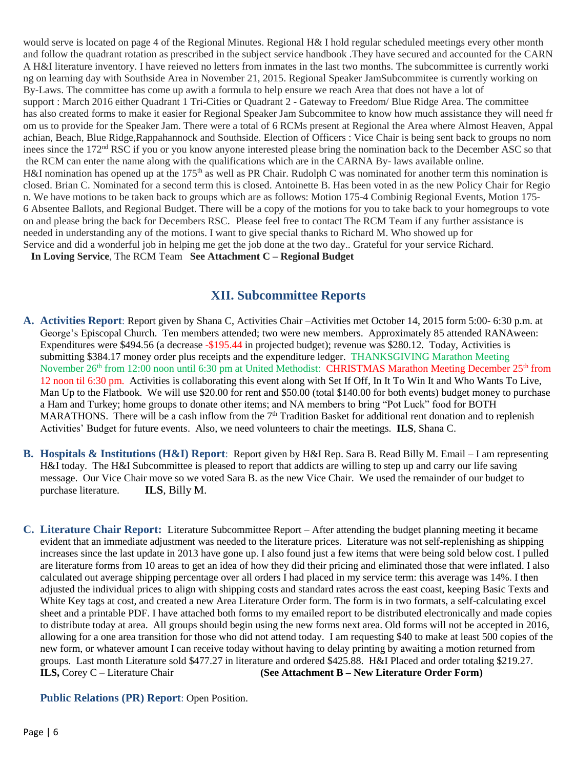would serve is located on page 4 of the Regional Minutes. Regional H& I hold regular scheduled meetings every other month and follow the quadrant rotation as prescribed in the subject service handbook .They have secured and accounted for the CARN A H&I literature inventory. I have reieved no letters from inmates in the last two months. The subcommittee is currently worki ng on learning day with Southside Area in November 21, 2015. Regional Speaker JamSubcommitee is currently working on By-Laws. The committee has come up awith a formula to help ensure we reach Area that does not have a lot of support : March 2016 either Quadrant 1 Tri-Cities or Quadrant 2 - Gateway to Freedom/ Blue Ridge Area. The committee has also created forms to make it easier for Regional Speaker Jam Subcommitee to know how much assistance they will need fr om us to provide for the Speaker Jam. There were a total of 6 RCMs present at Regional the Area where Almost Heaven, Appal achian, Beach, Blue Ridge,Rappahannock and Southside. Election of Officers : Vice Chair is being sent back to groups no nom inees since the 172nd RSC if you or you know anyone interested please bring the nomination back to the December ASC so that the RCM can enter the name along with the qualifications which are in the CARNA By- laws available online. H&I nomination has opened up at the 175<sup>th</sup> as well as PR Chair. Rudolph C was nominated for another term this nomination is closed. Brian C. Nominated for a second term this is closed. Antoinette B. Has been voted in as the new Policy Chair for Regio n. We have motions to be taken back to groups which are as follows: Motion 175-4 Combinig Regional Events, Motion 175- 6 Absentee Ballots, and Regional Budget. There will be a copy of the motions for you to take back to your homegroups to vote on and please bring the back for Decembers RSC. Please feel free to contact The RCM Team if any further assistance is needed in understanding any of the motions. I want to give special thanks to Richard M. Who showed up for Service and did a wonderful job in helping me get the job done at the two day.. Grateful for your service Richard.

**In Loving Service**, The RCM Team **See Attachment C – Regional Budget**

# **XII. Subcommittee Reports**

- **A. Activities Report**: Report given by Shana C, Activities Chair –Activities met October 14, 2015 form 5:00- 6:30 p.m. at George's Episcopal Church. Ten members attended; two were new members. Approximately 85 attended RANAween: Expenditures were \$494.56 (a decrease -\$195.44 in projected budget); revenue was \$280.12. Today, Activities is submitting \$384.17 money order plus receipts and the expenditure ledger. THANKSGIVING Marathon Meeting November 26<sup>th</sup> from 12:00 noon until 6:30 pm at United Methodist: **CHRISTMAS Marathon Meeting December 25<sup>th</sup> from** 12 noon til 6:30 pm. Activities is collaborating this event along with Set If Off, In It To Win It and Who Wants To Live, Man Up to the Flatbook. We will use \$20.00 for rent and \$50.00 (total \$140.00 for both events) budget money to purchase a Ham and Turkey; home groups to donate other items; and NA members to bring "Pot Luck" food for BOTH MARATHONS. There will be a cash inflow from the  $7<sup>th</sup>$  Tradition Basket for additional rent donation and to replenish Activities' Budget for future events. Also, we need volunteers to chair the meetings. **ILS**, Shana C.
- **B. Hospitals & Institutions (H&I) Report**: Report given by H&I Rep. Sara B. Read Billy M. Email I am representing H&I today. The H&I Subcommittee is pleased to report that addicts are willing to step up and carry our life saving message. Our Vice Chair move so we voted Sara B. as the new Vice Chair. We used the remainder of our budget to purchase literature. **ILS**, Billy M.
- **C. Literature Chair Report:** Literature Subcommittee Report After attending the budget planning meeting it became evident that an immediate adjustment was needed to the literature prices. Literature was not self-replenishing as shipping increases since the last update in 2013 have gone up. I also found just a few items that were being sold below cost. I pulled are literature forms from 10 areas to get an idea of how they did their pricing and eliminated those that were inflated. I also calculated out average shipping percentage over all orders I had placed in my service term: this average was 14%. I then adjusted the individual prices to align with shipping costs and standard rates across the east coast, keeping Basic Texts and White Key tags at cost, and created a new Area Literature Order form. The form is in two formats, a self-calculating excel sheet and a printable PDF. I have attached both forms to my emailed report to be distributed electronically and made copies to distribute today at area. All groups should begin using the new forms next area. Old forms will not be accepted in 2016, allowing for a one area transition for those who did not attend today. I am requesting \$40 to make at least 500 copies of the new form, or whatever amount I can receive today without having to delay printing by awaiting a motion returned from groups. Last month Literature sold \$477.27 in literature and ordered \$425.88. H&I Placed and order totaling \$219.27. **ILS,** Corey C – Literature Chair **(See Attachment B – New Literature Order Form)**

**Public Relations (PR) Report**: Open Position.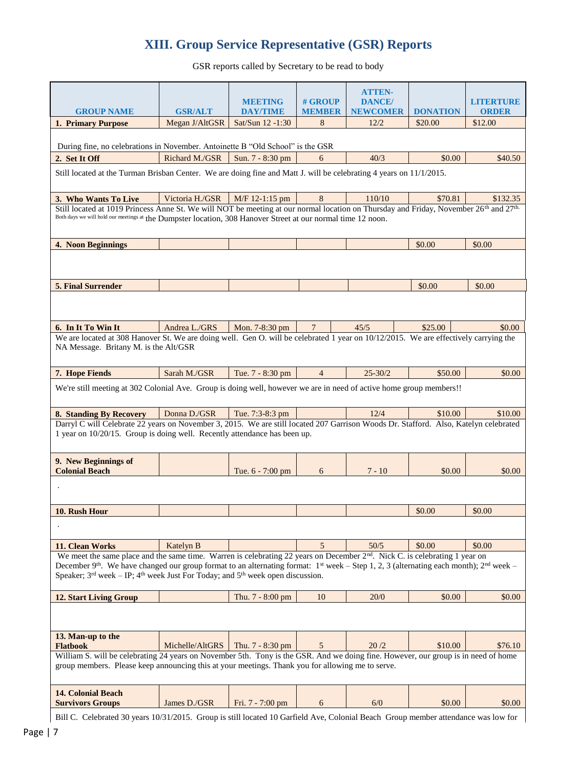# **XIII. Group Service Representative (GSR) Reports**

GSR reports called by Secretary to be read to body

|                                                                                                                                                                            |                 |                                   |                          | <b>ATTEN-</b>                     |                 |                                   |
|----------------------------------------------------------------------------------------------------------------------------------------------------------------------------|-----------------|-----------------------------------|--------------------------|-----------------------------------|-----------------|-----------------------------------|
| <b>GROUP NAME</b>                                                                                                                                                          | <b>GSR/ALT</b>  | <b>MEETING</b><br><b>DAY/TIME</b> | # GROUP<br><b>MEMBER</b> | <b>DANCE</b> /<br><b>NEWCOMER</b> | <b>DONATION</b> | I SI VIDRI NORI B<br><b>ORDER</b> |
| 1. Primary Purpose                                                                                                                                                         | Megan J/AltGSR  | Sat/Sun 12 -1:30                  | 8                        | 12/2                              | \$20.00         | \$12.00                           |
|                                                                                                                                                                            |                 |                                   |                          |                                   |                 |                                   |
| During fine, no celebrations in November. Antoinette B "Old School" is the GSR                                                                                             |                 |                                   |                          |                                   |                 |                                   |
| 2. Set It Off                                                                                                                                                              | Richard M./GSR  | Sun. 7 - 8:30 pm                  | 6                        | 40/3                              | \$0.00          | \$40.50                           |
| Still located at the Turman Brisban Center. We are doing fine and Matt J. will be celebrating 4 years on 11/1/2015.                                                        |                 |                                   |                          |                                   |                 |                                   |
|                                                                                                                                                                            |                 |                                   |                          |                                   |                 |                                   |
| 3. Who Wants To Live                                                                                                                                                       | Victoria H./GSR | M/F 12-1:15 pm                    | 8                        | 110/10                            | \$70.81         | \$132.35                          |
| Still located at 1019 Princess Anne St. We will NOT be meeting at our normal location on Thursday and Friday, November 26 <sup>th</sup> and 27 <sup>th.</sup>              |                 |                                   |                          |                                   |                 |                                   |
| Both days we will hold our meetings at the Dumpster location, 308 Hanover Street at our normal time 12 noon.                                                               |                 |                                   |                          |                                   |                 |                                   |
|                                                                                                                                                                            |                 |                                   |                          |                                   |                 |                                   |
| 4. Noon Beginnings                                                                                                                                                         |                 |                                   |                          |                                   | \$0.00          | \$0.00                            |
|                                                                                                                                                                            |                 |                                   |                          |                                   |                 |                                   |
|                                                                                                                                                                            |                 |                                   |                          |                                   |                 |                                   |
| 5. Final Surrender                                                                                                                                                         |                 |                                   |                          |                                   | \$0.00          | \$0.00                            |
|                                                                                                                                                                            |                 |                                   |                          |                                   |                 |                                   |
|                                                                                                                                                                            |                 |                                   |                          |                                   |                 |                                   |
| 6. In It To Win It                                                                                                                                                         | Andrea L./GRS   | Mon. 7-8:30 pm                    | 7                        | 45/5                              | \$25.00         | \$0.00                            |
| We are located at 308 Hanover St. We are doing well. Gen O. will be celebrated 1 year on 10/12/2015. We are effectively carrying the                                       |                 |                                   |                          |                                   |                 |                                   |
| NA Message. Britany M. is the Alt/GSR                                                                                                                                      |                 |                                   |                          |                                   |                 |                                   |
|                                                                                                                                                                            |                 |                                   |                          |                                   |                 |                                   |
| 7. Hope Fiends                                                                                                                                                             | Sarah M./GSR    | Tue. 7 - 8:30 pm                  | $\overline{4}$           | $25 - 30/2$                       | \$50.00         | \$0.00                            |
| We're still meeting at 302 Colonial Ave. Group is doing well, however we are in need of active home group members!!                                                        |                 |                                   |                          |                                   |                 |                                   |
| 8. Standing By Recovery                                                                                                                                                    | Donna D./GSR    | Tue. 7:3-8:3 pm                   |                          | 12/4                              | \$10.00         | \$10.00                           |
| Darryl C will Celebrate 22 years on November 3, 2015. We are still located 207 Garrison Woods Dr. Stafford. Also, Katelyn celebrated                                       |                 |                                   |                          |                                   |                 |                                   |
| 1 year on 10/20/15. Group is doing well. Recently attendance has been up.                                                                                                  |                 |                                   |                          |                                   |                 |                                   |
|                                                                                                                                                                            |                 |                                   |                          |                                   |                 |                                   |
| 9. New Beginnings of                                                                                                                                                       |                 |                                   |                          |                                   |                 |                                   |
| <b>Colonial Beach</b>                                                                                                                                                      |                 | Tue. 6 - 7:00 pm                  | 6                        | $7 - 10$                          | \$0.00          | \$0.00                            |
|                                                                                                                                                                            |                 |                                   |                          |                                   |                 |                                   |
|                                                                                                                                                                            |                 |                                   |                          |                                   |                 |                                   |
| 10. Rush Hour                                                                                                                                                              |                 |                                   |                          |                                   | \$0.00          | \$0.00                            |
|                                                                                                                                                                            |                 |                                   |                          |                                   |                 |                                   |
| 11. Clean Works                                                                                                                                                            | Katelyn B       |                                   | 5                        | 50/5                              | \$0.00          | \$0.00                            |
| We meet the same place and the same time. Warren is celebrating 22 years on December $2nd$ . Nick C. is celebrating 1 year on                                              |                 |                                   |                          |                                   |                 |                                   |
| December 9 <sup>th</sup> . We have changed our group format to an alternating format: 1 <sup>st</sup> week – Step 1, 2, 3 (alternating each month); 2 <sup>nd</sup> week – |                 |                                   |                          |                                   |                 |                                   |
| Speaker; $3^{rd}$ week – IP; $4^{th}$ week Just For Today; and $5^{th}$ week open discussion.                                                                              |                 |                                   |                          |                                   |                 |                                   |
| <b>12. Start Living Group</b>                                                                                                                                              |                 | Thu. 7 - 8:00 pm                  | 10                       | 20/0                              | \$0.00          | \$0.00                            |
|                                                                                                                                                                            |                 |                                   |                          |                                   |                 |                                   |
|                                                                                                                                                                            |                 |                                   |                          |                                   |                 |                                   |
| 13. Man-up to the                                                                                                                                                          |                 |                                   |                          |                                   |                 |                                   |
| <b>Flatbook</b>                                                                                                                                                            | Michelle/AltGRS | Thu. 7 - 8:30 pm                  | 5                        | 20/2                              | \$10.00         | \$76.10                           |
| William S. will be celebrating 24 years on November 5th. Tony is the GSR. And we doing fine. However, our group is in need of home                                         |                 |                                   |                          |                                   |                 |                                   |
| group members. Please keep announcing this at your meetings. Thank you for allowing me to serve.                                                                           |                 |                                   |                          |                                   |                 |                                   |
|                                                                                                                                                                            |                 |                                   |                          |                                   |                 |                                   |
| <b>14. Colonial Beach</b>                                                                                                                                                  |                 |                                   |                          |                                   |                 |                                   |
| <b>Survivors Groups</b>                                                                                                                                                    | James D./GSR    | Fri. 7 - 7:00 pm                  | 6                        | 6/0                               | \$0.00          | \$0.00                            |

Bill C. Celebrated 30 years 10/31/2015. Group is still located 10 Garfield Ave, Colonial Beach Group member attendance was low for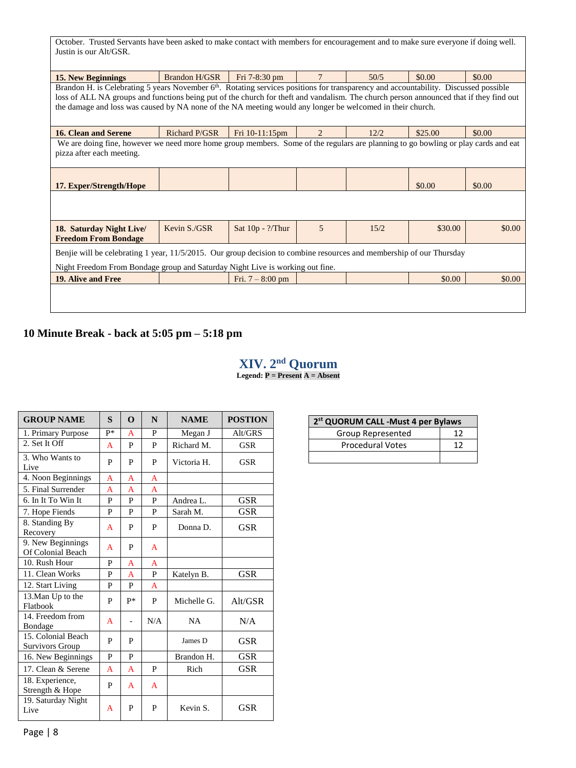| October. Trusted Servants have been asked to make contact with members for encouragement and to make sure everyone if doing well.<br>Justin is our Alt/GSR.                                                                                                                                                                                                                                             |                                                                                                                                   |                            |                |      |         |        |  |
|---------------------------------------------------------------------------------------------------------------------------------------------------------------------------------------------------------------------------------------------------------------------------------------------------------------------------------------------------------------------------------------------------------|-----------------------------------------------------------------------------------------------------------------------------------|----------------------------|----------------|------|---------|--------|--|
| <b>15. New Beginnings</b>                                                                                                                                                                                                                                                                                                                                                                               | Brandon H/GSR                                                                                                                     | Fri 7-8:30 pm              |                | 50/5 | \$0.00  | \$0.00 |  |
| Brandon H. is Celebrating 5 years November 6 <sup>th</sup> . Rotating services positions for transparency and accountability. Discussed possible<br>loss of ALL NA groups and functions being put of the church for theft and vandalism. The church person announced that if they find out<br>the damage and loss was caused by NA none of the NA meeting would any longer be welcomed in their church. |                                                                                                                                   |                            |                |      |         |        |  |
| 16. Clean and Serene                                                                                                                                                                                                                                                                                                                                                                                    | <b>Richard P/GSR</b>                                                                                                              | Fri 10-11:15pm             | $\overline{2}$ | 12/2 | \$25.00 | \$0.00 |  |
| pizza after each meeting.                                                                                                                                                                                                                                                                                                                                                                               | We are doing fine, however we need more home group members. Some of the regulars are planning to go bowling or play cards and eat |                            |                |      |         |        |  |
| 17. Exper/Strength/Hope                                                                                                                                                                                                                                                                                                                                                                                 |                                                                                                                                   |                            |                |      | \$0.00  | \$0.00 |  |
|                                                                                                                                                                                                                                                                                                                                                                                                         |                                                                                                                                   |                            |                |      |         |        |  |
| 18. Saturday Night Live<br><b>Freedom From Bondage</b>                                                                                                                                                                                                                                                                                                                                                  | Kevin S./GSR                                                                                                                      | Sat $10p - \frac{?}{Thur}$ | 5              | 15/2 | \$30.00 | \$0.00 |  |
| Benjie will be celebrating 1 year, 11/5/2015. Our group decision to combine resources and membership of our Thursday<br>Night Freedom From Bondage group and Saturday Night Live is working out fine.                                                                                                                                                                                                   |                                                                                                                                   |                            |                |      |         |        |  |
| 19. Alive and Free                                                                                                                                                                                                                                                                                                                                                                                      |                                                                                                                                   | Fri. $7 - 8:00$ pm         |                |      | \$0.00  | \$0.00 |  |
|                                                                                                                                                                                                                                                                                                                                                                                                         |                                                                                                                                   |                            |                |      |         |        |  |

# **10 Minute Break - back at 5:05 pm – 5:18 pm**

# **XIV. 2 nd Quorum**

**Legend: P = Present A = Absent**

| <b>GROUP NAME</b>                      | $\mathbf{s}$ | O              | N              | <b>NAME</b> | <b>POSTION</b> |
|----------------------------------------|--------------|----------------|----------------|-------------|----------------|
| 1. Primary Purpose                     | p*           | A              | P              | Megan J     | Alt/GRS        |
| 2. Set It Off                          | A            | P              | P              | Richard M.  | <b>GSR</b>     |
| 3. Who Wants to<br>Live                | P            | P              | P              | Victoria H. | <b>GSR</b>     |
| 4. Noon Beginnings                     | $\mathsf{A}$ | $\overline{A}$ | A              |             |                |
| 5. Final Surrender                     | A            | $\overline{A}$ | $\overline{A}$ |             |                |
| 6. In It To Win It                     | P            | P              | P              | Andrea L.   | <b>GSR</b>     |
| 7. Hope Fiends                         | P            | P              | P              | Sarah M.    | <b>GSR</b>     |
| 8. Standing By<br>Recovery             | A            | P              | P              | Donna D.    | <b>GSR</b>     |
| 9. New Beginnings<br>Of Colonial Beach | A            | P              | A              |             |                |
| 10. Rush Hour                          | P            | A              | A              |             |                |
| 11. Clean Works                        | P            | A              | P              | Katelyn B.  | <b>GSR</b>     |
| 12. Start Living                       | P            | P              | A              |             |                |
| 13. Man Up to the<br>Flatbook          | P            | $P*$           | P              | Michelle G. | Alt/GSR        |
| 14. Freedom from<br>Bondage            | A            |                | N/A            | <b>NA</b>   | N/A            |
| 15. Colonial Beach<br>Survivors Group  | P            | P              |                | James D     | <b>GSR</b>     |
| 16. New Beginnings                     | P            | P              |                | Brandon H.  | <b>GSR</b>     |
| 17. Clean & Serene                     | $\mathsf{A}$ | $\mathsf{A}$   | P              | Rich        | <b>GSR</b>     |
| 18. Experience,<br>Strength & Hope     | P            | A              | A              |             |                |
| 19. Saturday Night<br>Live             | A            | P              | P              | Kevin S.    | GSR            |

| 2 <sup>st</sup> QUORUM CALL -Must 4 per Bylaws |    |  |  |  |  |
|------------------------------------------------|----|--|--|--|--|
| Group Represented                              | 17 |  |  |  |  |
| <b>Procedural Votes</b>                        | 17 |  |  |  |  |
|                                                |    |  |  |  |  |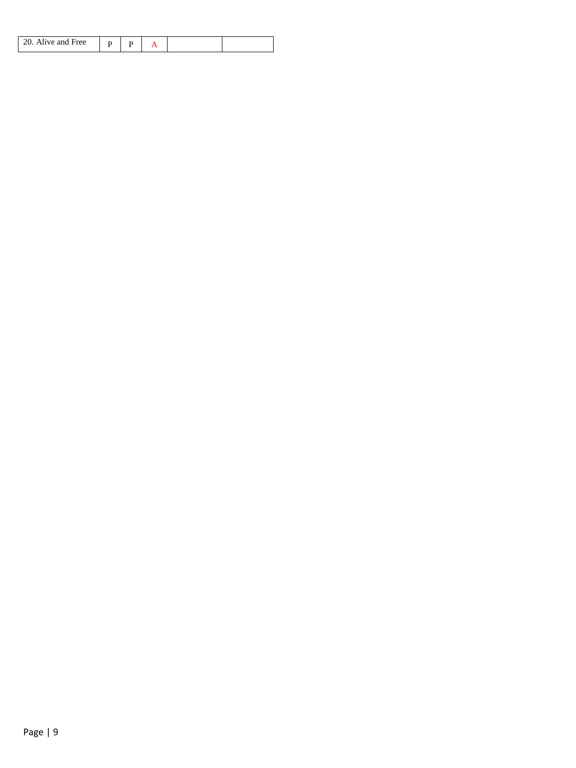| Alive and Free |  |  |  |
|----------------|--|--|--|
|                |  |  |  |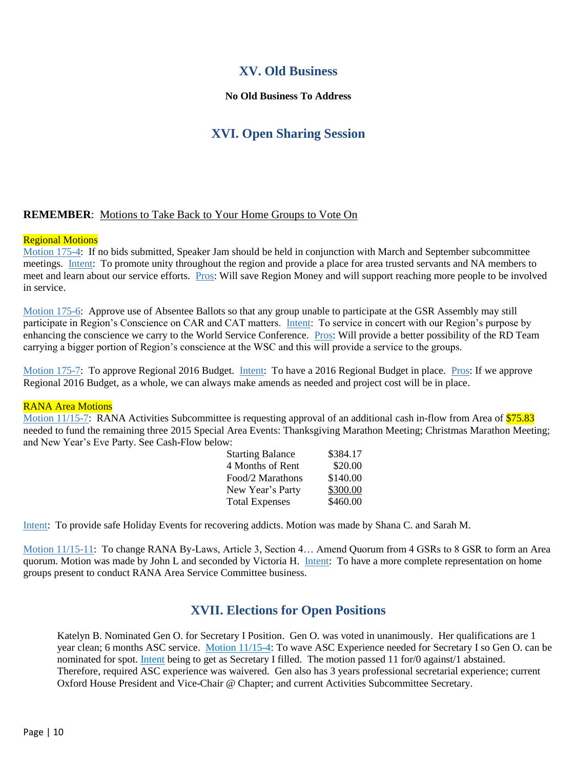## **XV. Old Business**

### **No Old Business To Address**

# **XVI. Open Sharing Session**

### **REMEMBER**: Motions to Take Back to Your Home Groups to Vote On

#### Regional Motions

Motion 175-4: If no bids submitted, Speaker Jam should be held in conjunction with March and September subcommittee meetings. Intent: To promote unity throughout the region and provide a place for area trusted servants and NA members to meet and learn about our service efforts. Pros: Will save Region Money and will support reaching more people to be involved in service.

Motion 175-6: Approve use of Absentee Ballots so that any group unable to participate at the GSR Assembly may still participate in Region's Conscience on CAR and CAT matters. Intent: To service in concert with our Region's purpose by enhancing the conscience we carry to the World Service Conference. Pros: Will provide a better possibility of the RD Team carrying a bigger portion of Region's conscience at the WSC and this will provide a service to the groups.

Motion 175-7: To approve Regional 2016 Budget. Intent: To have a 2016 Regional Budget in place. Pros: If we approve Regional 2016 Budget, as a whole, we can always make amends as needed and project cost will be in place.

#### RANA Area Motions

Motion 11/15-7: RANA Activities Subcommittee is requesting approval of an additional cash in-flow from Area of \$75.83 needed to fund the remaining three 2015 Special Area Events: Thanksgiving Marathon Meeting; Christmas Marathon Meeting; and New Year's Eve Party. See Cash-Flow below:

| <b>Starting Balance</b> | \$384.17 |
|-------------------------|----------|
| 4 Months of Rent        | \$20.00  |
| Food/2 Marathons        | \$140.00 |
| New Year's Party        | \$300.00 |
| <b>Total Expenses</b>   | \$460.00 |

Intent: To provide safe Holiday Events for recovering addicts. Motion was made by Shana C. and Sarah M.

Motion 11/15-11: To change RANA By-Laws, Article 3, Section 4… Amend Quorum from 4 GSRs to 8 GSR to form an Area quorum. Motion was made by John L and seconded by Victoria H. Intent: To have a more complete representation on home groups present to conduct RANA Area Service Committee business.

### **XVII. Elections for Open Positions**

Katelyn B. Nominated Gen O. for Secretary I Position. Gen O. was voted in unanimously. Her qualifications are 1 year clean; 6 months ASC service. Motion 11/15-4: To wave ASC Experience needed for Secretary I so Gen O. can be nominated for spot. Intent being to get as Secretary I filled. The motion passed 11 for/0 against/1 abstained. Therefore, required ASC experience was waivered. Gen also has 3 years professional secretarial experience; current Oxford House President and Vice-Chair @ Chapter; and current Activities Subcommittee Secretary.